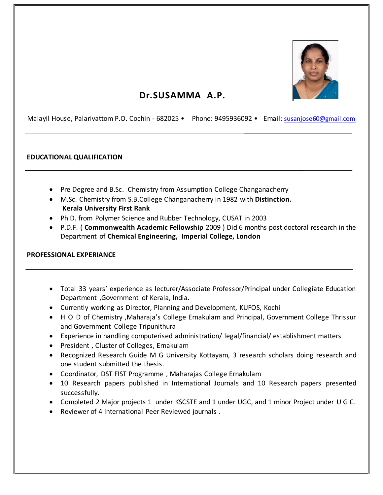

# **Dr.SUSAMMA A.P.**

Malayil House, Palarivattom P.O. Cochin - 682025 • Phone: 9495936092 • Email: [susanjose60@gmail.com](mailto:susanjose60@gmail.com)

#### **EDUCATIONAL QUALIFICATION**

- Pre Degree and B.Sc. Chemistry from Assumption College Changanacherry
- M.Sc. Chemistry from S.B.College Changanacherry in 1982 with **Distinction. Kerala University First Rank**
- Ph.D. from Polymer Science and Rubber Technology, CUSAT in 2003
- P.D.F. ( **Commonwealth Academic Fellowship** 2009 ) Did 6 months post doctoral research in the Department of **Chemical Engineering, Imperial College, London**

#### **PROFESSIONAL EXPERIANCE**

- Total 33 years' experience as lecturer/Associate Professor/Principal under Collegiate Education Department ,Government of Kerala, India.
- Currently working as Director, Planning and Development, KUFOS, Kochi
- H O D of Chemistry ,Maharaja's College Ernakulam and Principal, Government College Thrissur and Government College Tripunithura
- Experience in handling computerised administration/ legal/financial/ establishment matters
- President, Cluster of Colleges, Ernakulam
- Recognized Research Guide M G University Kottayam, 3 research scholars doing research and one student submitted the thesis.
- Coordinator, DST FIST Programme , Maharajas College Ernakulam
- 10 Research papers published in International Journals and 10 Research papers presented successfully.
- Completed 2 Major projects 1 under KSCSTE and 1 under UGC, and 1 minor Project under U G C.
- Reviewer of 4 International Peer Reviewed journals .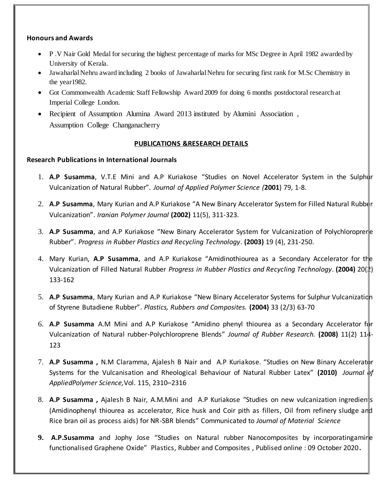# **Honours and Awards**

- P .V Nair Gold Medal for securing the highest percentage of marks for MSc Degree in April 1982 awarded by University of Kerala.
- Jawaharlal Nehru award including 2 books of Jawaharlal Nehru for securing first rank for M.Sc Chemistry in the year1982.
- Got Commonwealth Academic Staff Fellowship Award 2009 for doing 6 months postdoctoral research at Imperial College London.
- Recipient of Assumption Alumina Award 2013 instituted by Alumini Association, Assumption College Changanacherry

#### **PUBLICATIONS &RESEARCH DETAILS**

#### **Research Publications in International Journals**

- 1. **A.P Susamma**, V.T.E Mini and A.P Kuriakose "Studies on Novel Accelerator System in the Sulphur Vulcanization of Natural Rubber". *Journal of Applied Polymer Science (***2001**) 79, 1-8.
- 2. **A.P Susamma**, Mary Kurian and A.P Kuriakose "A New Binary Accelerator System for Filled Natural Rubber Vulcanization". *Iranian Polymer Journal* **(2002)** 11(5), 311-323.
- 3. **A.P Susamma**, and A.P Kuriakose "New Binary Accelerator System for Vulcanization of Polychloroprene Rubber". *Progress in Rubber Plastics and Recycling Technology*. **(2003)** 19 (4), 231-250.
- 4. Mary Kurian, **A.P Susamma**, and A.P Kuriakose "Amidinothiourea as a Secondary Accelerator for the Vulcanization of Filled Natural Rubber *Progress in Rubber Plastics and Recycling Technology*. **(2004)** 20(2) 133-162
- 5. **A.P Susamma**, Mary Kurian and A.P Kuriakose "New Binary Accelerator Systems for Sulphur Vulcanization of Styrene Butadiene Rubber". *Plastics, Rubbers and Composites.* **(2004)** 33 (2/3) 63-70
- 6. **A.P Susamma** A.M Mini and A.P Kuriakose "Amidino phenyl thiourea as a Secondary Accelerator for Vulcanization of Natural rubber-Polychloroprene Blends" *Journal of Rubber Research.* **(2008)** 11(2) 114- 123
- 7. A.P Susamma, N.M Claramma, Ajalesh B Nair and A.P Kuriakose. "Studies on New Binary Accelerator Systems for the Vulcanisation and Rheological Behaviour of Natural Rubber Latex" (2010) *Journal* of *AppliedPolymer Science,*Vol. 115, 2310–2316
- 8. A.P Susamma, Ajalesh B Nair, A.M.Mini and A.P Kuriakose "Studies on new vulcanization ingredien<sup>t</sup>s (Amidinophenyl thiourea as accelerator, Rice husk and Coir pith as fillers, Oil from refinery sludge and Rice bran oil as process aids) for NR-SBR blends" Communicated to *Journal of Material Science*
- **9. A.P.Susamma** and Jophy Jose "Studies on Natural rubber Nanocomposites by incorporatingamine functionalised Graphene Oxide" Plastics, Rubber and Composites , Publised online : 09 October 2020**.**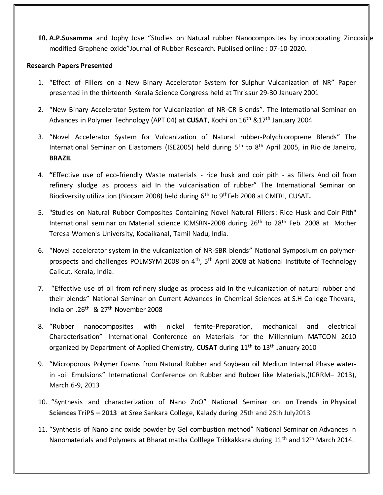10. A.P.Susamma and Jophy Jose "Studies on Natural rubber Nanocomposites by incorporating Zincoxide modified Graphene oxide"Journal of Rubber Research. Publised online : 07-10-2020**.**

## **Research Papers Presented**

- 1. "Effect of Fillers on a New Binary Accelerator System for Sulphur Vulcanization of NR" Paper presented in the thirteenth Kerala Science Congress held at Thrissur 29-30 January 2001
- 2. "New Binary Accelerator System for Vulcanization of NR-CR Blends". The International Seminar on Advances in Polymer Technology (APT 04) at **CUSAT**, Kochi on 16th &17th January 2004
- 3. "Novel Accelerator System for Vulcanization of Natural rubber-Polychloroprene Blends" The International Seminar on Elastomers (ISE2005) held during 5<sup>th</sup> to 8<sup>th</sup> April 2005, in Rio de Janeiro, **BRAZIL**
- 4. **"**Effective use of eco-friendly Waste materials rice husk and coir pith as fillers And oil from refinery sludge as process aid In the vulcanisation of rubber" The International Seminar on Biodiversity utilization (Biocam 2008) held during 6th to 9thFeb 2008 at CMFRI, CUSAT**.**
- 5. "Studies on Natural Rubber Composites Containing Novel Natural Fillers: Rice Husk and Coir Pith" International seminar on Material science ICMSRN-2008 during 26<sup>th</sup> to 28<sup>th</sup> Feb. 2008 at Mother Teresa Women's University, Kodaikanal, Tamil Nadu, India.
- 6. "Novel accelerator system in the vulcanization of NR-SBR blends" National Symposium on polymerprospects and challenges POLMSYM 2008 on 4<sup>th</sup>, 5<sup>th</sup> April 2008 at National Institute of Technology Calicut, Kerala, India.
- 7. "Effective use of oil from refinery sludge as process aid In the vulcanization of natural rubber and their blends" National Seminar on Current Advances in Chemical Sciences at S.H College Thevara, India on .26th & 27th November 2008
- 8. "Rubber nanocomposites with nickel ferrite-Preparation, mechanical and electrical Characterisation" International Conference on Materials for the Millennium MATCON 2010 organized by Department of Applied Chemistry, **CUSAT** during 11th to 13th January 2010
- 9. "Microporous Polymer Foams from Natural Rubber and Soybean oil Medium Internal Phase waterin -oil Emulsions" International Conference on Rubber and Rubber like Materials,(ICRRM– 2013), March 6-9, 2013
- 10. "Synthesis and characterization of Nano ZnO" National Seminar on **on Trends in Physical Sciences TriPS – 2013 at** Sree Sankara College, Kalady during 25th and 26th July2013
- 11. "Synthesis of Nano zinc oxide powder by Gel combustion method" National Seminar on Advances in Nanomaterials and Polymers at Bharat matha Colllege Trikkakkara during 11<sup>th</sup> and 12<sup>th</sup> March 2014.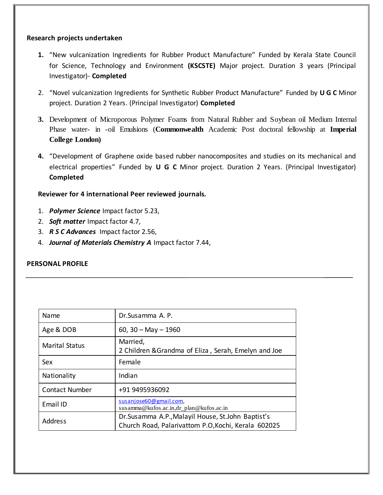# **Research projects undertaken**

- **1.** "New vulcanization Ingredients for Rubber Product Manufacture" Funded by Kerala State Council for Science, Technology and Environment **(KSCSTE)** Major project. Duration 3 years (Principal Investigator)- **Completed**
- 2. "Novel vulcanization Ingredients for Synthetic Rubber Product Manufacture" Funded by **U G C** Minor project. Duration 2 Years. (Principal Investigator) **Completed**
- **3.** Development of Microporous Polymer Foams from Natural Rubber and Soybean oil Medium Internal Phase water- in -oil Emulsions (**Commonwealth** Academic Post doctoral fellowship at **Imperial College London)**
- **4.** "Development of Graphene oxide based rubber nanocomposites and studies on its mechanical and electrical properties" Funded by **U G C** Minor project. Duration 2 Years. (Principal Investigator) **Completed**

# **Reviewer for 4 international Peer reviewed journals.**

- 1. *Polymer Science* Impact factor 5.23,
- 2. *Soft matter* Impact factor 4.7,
- 3. *R S C Advances* Impact factor 2.56,
- 4. *Journal of Materials Chemistry A* Impact factor 7.44,

# **PERSONAL PROFILE**

| Name                  | Dr.Susamma A. P.                                                                                           |
|-----------------------|------------------------------------------------------------------------------------------------------------|
| Age & DOB             | 60, 30 $-$ May $-$ 1960                                                                                    |
| <b>Marital Status</b> | Married,<br>2 Children & Grandma of Eliza, Serah, Emelyn and Joe                                           |
| Sex                   | Female                                                                                                     |
| Nationality           | Indian                                                                                                     |
| <b>Contact Number</b> | +91 9495936092                                                                                             |
| Email ID              | susanjose60@gmail.com,<br>susamma@kufos.ac.in,dr_plan@kufos.ac.in                                          |
| <b>Address</b>        | Dr. Susamma A.P., Malayil House, St. John Baptist's<br>Church Road, Palarivattom P.O, Kochi, Kerala 602025 |